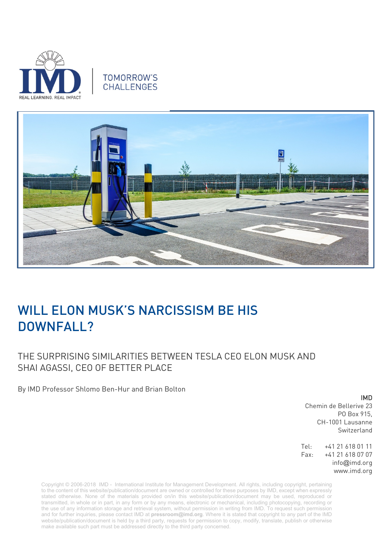

### **TOMORROW'S** CHALLENGES



# WILL ELON MUSK'S NARCISSISM BE HIS DOWNFALL?

## THE SURPRISING SIMILARITIES BETWEEN TESLA CEO ELON MUSK AND SHAI AGASSI, CEO OF BETTER PLACE

By IMD Professor Shlomo Ben-Hur and Brian Bolton

#### IMD

Chemin de Bellerive 23 PO Box 915, CH-1001 Lausanne Switzerland

Tel: +41 21 618 01 11 Fax: +41 21 618 07 07 info@imd.org www.imd.org

Copyright © 2006-2018 IMD - International Institute for Management Development. All rights, including copyright, pertaining to the content of this website/publication/document are owned or controlled for these purposes by IMD, except when expressly stated otherwise. None of the materials provided on/in this website/publication/document may be used, reproduced or transmitted, in whole or in part, in any form or by any means, electronic or mechanical, including photocopying, recording or the use of any information storage and retrieval system, without permission in writing from IMD. To request such permission and for further inquiries, please contact IMD at **[pressroom@imd.org](mailto:pressroom@imd.org)**. Where it is stated that copyright to any part of the IMD website/publication/document is held by a third party, requests for permission to copy, modify, translate, publish or otherwise make available such part must be addressed directly to the third party concerned.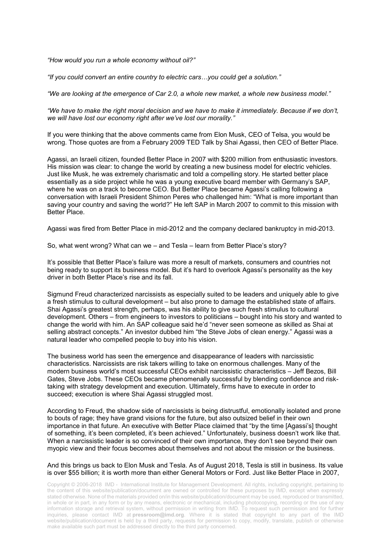*"How would you run a whole economy without oil?"*

*"If you could convert an entire country to electric cars…you could get a solution."*

*"We are looking at the emergence of Car 2.0, a whole new market, a whole new business model."*

*"We have to make the right moral decision and we have to make it immediately. Because if we don't, we will have lost our economy right after we've lost our morality."*

If you were thinking that the above comments came from Elon Musk, CEO of Telsa, you would be wrong. Those quotes are from a February 2009 TED Talk by Shai Agassi, then CEO of Better Place.

Agassi, an Israeli citizen, founded Better Place in 2007 with \$200 million from enthusiastic investors. His mission was clear: to change the world by creating a new business model for electric vehicles. Just like Musk, he was extremely charismatic and told a compelling story. He started better place essentially as a side project while he was a young executive board member with Germany's SAP, where he was on a track to become CEO. But Better Place became Agassi's calling following a conversation with Israeli President Shimon Peres who challenged him: "What is more important than saving your country and saving the world?" He left SAP in March 2007 to commit to this mission with Better Place.

Agassi was fired from Better Place in mid-2012 and the company declared bankruptcy in mid-2013.

So, what went wrong? What can we – and Tesla – learn from Better Place's story?

It's possible that Better Place's failure was more a result of markets, consumers and countries not being ready to support its business model. But it's hard to overlook Agassi's personality as the key driver in both Better Place's rise and its fall.

Sigmund Freud characterized narcissists as especially suited to be leaders and uniquely able to give a fresh stimulus to cultural development – but also prone to damage the established state of affairs. Shai Agassi's greatest strength, perhaps, was his ability to give such fresh stimulus to cultural development. Others – from engineers to investors to politicians – bought into his story and wanted to change the world with him. An SAP colleague said he'd "never seen someone as skilled as Shai at selling abstract concepts." An investor dubbed him "the Steve Jobs of clean energy." Agassi was a natural leader who compelled people to buy into his vision.

The business world has seen the emergence and disappearance of leaders with narcissistic characteristics. Narcissists are risk takers willing to take on enormous challenges. Many of the modern business world's most successful CEOs exhibit narcissistic characteristics – Jeff Bezos, Bill Gates, Steve Jobs. These CEOs became phenomenally successful by blending confidence and risktaking with strategy development and execution. Ultimately, firms have to execute in order to succeed; execution is where Shai Agassi struggled most.

According to Freud, the shadow side of narcissists is being distrustful, emotionally isolated and prone to bouts of rage; they have grand visions for the future, but also outsized belief in their own importance in that future. An executive with Better Place claimed that "by the time [Agassi's] thought of something, it's been completed, it's been achieved." Unfortunately, business doesn't work like that. When a narcissistic leader is so convinced of their own importance, they don't see beyond their own myopic view and their focus becomes about themselves and not about the mission or the business.

#### And this brings us back to Elon Musk and Tesla. As of August 2018, Tesla is still in business. Its value is over \$55 billion; it is worth more than either General Motors or Ford. Just like Better Place in 2007,

Copyright © 2006-2018 IMD - International Institute for Management Development. All rights, including copyright, pertaining to the content of this website/publication/document are owned or controlled for these purposes by IMD, except when expressly stated otherwise. None of the materials provided on/in this website/publication/document may be used, reproduced or transmitted, in whole or in part, in any form or by any means, electronic or mechanical, including photocopying, recording or the use of any information storage and retrieval system, without permission in writing from IMD. To request such permission and for further inquiries, please contact IMD at **[pressroom@imd.org](mailto:pressroom@imd.org)**. Where it is stated that copyright to any part of the IMD website/publication/document is held by a third party, requests for permission to copy, modify, translate, publish or otherwise make available such part must be addressed directly to the third party concerned.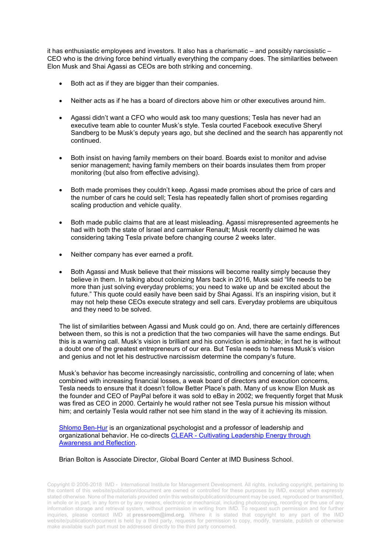it has enthusiastic employees and investors. It also has a charismatic – and possibly narcissistic – CEO who is the driving force behind virtually everything the company does. The similarities between Elon Musk and Shai Agassi as CEOs are both striking and concerning.

- Both act as if they are bigger than their companies.
- Neither acts as if he has a board of directors above him or other executives around him.
- Agassi didn't want a CFO who would ask too many questions; Tesla has never had an executive team able to counter Musk's style. Tesla courted Facebook executive Sheryl Sandberg to be Musk's deputy years ago, but she declined and the search has apparently not continued.
- Both insist on having family members on their board. Boards exist to monitor and advise senior management; having family members on their boards insulates them from proper monitoring (but also from effective advising).
- Both made promises they couldn't keep. Agassi made promises about the price of cars and the number of cars he could sell; Tesla has repeatedly fallen short of promises regarding scaling production and vehicle quality.
- Both made public claims that are at least misleading. Agassi misrepresented agreements he had with both the state of Israel and carmaker Renault; Musk recently claimed he was considering taking Tesla private before changing course 2 weeks later.
- Neither company has ever earned a profit.
- Both Agassi and Musk believe that their missions will become reality simply because they believe in them. In talking about colonizing Mars back in 2016, Musk said "life needs to be more than just solving everyday problems; you need to wake up and be excited about the future." This quote could easily have been said by Shai Agassi. It's an inspiring vision, but it may not help these CEOs execute strategy and sell cars. Everyday problems are ubiquitous and they need to be solved.

The list of similarities between Agassi and Musk could go on. And, there are certainly differences between them, so this is not a prediction that the two companies will have the same endings. But this is a warning call. Musk's vision is brilliant and his conviction is admirable; in fact he is without a doubt one of the greatest entrepreneurs of our era. But Tesla needs to harness Musk's vision and genius and not let his destructive narcissism determine the company's future.

Musk's behavior has become increasingly narcissistic, controlling and concerning of late; when combined with increasing financial losses, a weak board of directors and execution concerns, Tesla needs to ensure that it doesn't follow Better Place's path. Many of us know Elon Musk as the founder and CEO of PayPal before it was sold to eBay in 2002; we frequently forget that Musk was fired as CEO in 2000. Certainly he would rather not see Tesla pursue his mission without him; and certainly Tesla would rather not see him stand in the way of it achieving its mission.

[Shlomo Ben-Hur](https://www.imd.org/faculty/professors/shlomo-ben-hur/) is an organizational psychologist and a professor of leadership and organizational behavior. He co-directs CLEAR - [Cultivating Leadership Energy through](https://www.imd.org/clear/leadership-transformation/)  [Awareness and Reflection.](https://www.imd.org/clear/leadership-transformation/)

#### Brian Bolton is Associate Director, Global Board Center at IMD Business School.

Copyright © 2006-2018 IMD - International Institute for Management Development. All rights, including copyright, pertaining to the content of this website/publication/document are owned or controlled for these purposes by IMD, except when expressly stated otherwise. None of the materials provided on/in this website/publication/document may be used, reproduced or transmitted, in whole or in part, in any form or by any means, electronic or mechanical, including photocopying, recording or the use of any information storage and retrieval system, without permission in writing from IMD. To request such permission and for further inquiries, please contact IMD at **[pressroom@imd.org](mailto:pressroom@imd.org)**. Where it is stated that copyright to any part of the IMD website/publication/document is held by a third party, requests for permission to copy, modify, translate, publish or otherwise make available such part must be addressed directly to the third party concerned.